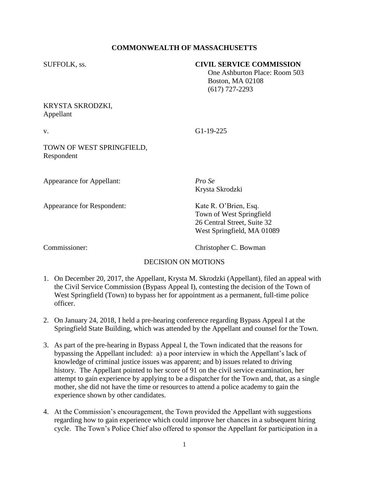# **COMMONWEALTH OF MASSACHUSETTS**

#### SUFFOLK, ss. **CIVIL SERVICE COMMISSION**

 One Ashburton Place: Room 503 Boston, MA 02108 (617) 727-2293

## KRYSTA SKRODZKI, Appellant

v. G1-19-225

TOWN OF WEST SPRINGFIELD, Respondent

Appearance for Appellant: *Pro Se*

Appearance for Respondent: Kate R. O'Brien, Esq.

Krysta Skrodzki

Town of West Springfield 26 Central Street, Suite 32 West Springfield, MA 01089

Commissioner: Christopher C. Bowman

## DECISION ON MOTIONS

- 1. On December 20, 2017, the Appellant, Krysta M. Skrodzki (Appellant), filed an appeal with the Civil Service Commission (Bypass Appeal I), contesting the decision of the Town of West Springfield (Town) to bypass her for appointment as a permanent, full-time police officer.
- 2. On January 24, 2018, I held a pre-hearing conference regarding Bypass Appeal I at the Springfield State Building, which was attended by the Appellant and counsel for the Town.
- 3. As part of the pre-hearing in Bypass Appeal I, the Town indicated that the reasons for bypassing the Appellant included: a) a poor interview in which the Appellant's lack of knowledge of criminal justice issues was apparent; and b) issues related to driving history. The Appellant pointed to her score of 91 on the civil service examination, her attempt to gain experience by applying to be a dispatcher for the Town and, that, as a single mother, she did not have the time or resources to attend a police academy to gain the experience shown by other candidates.
- 4. At the Commission's encouragement, the Town provided the Appellant with suggestions regarding how to gain experience which could improve her chances in a subsequent hiring cycle. The Town's Police Chief also offered to sponsor the Appellant for participation in a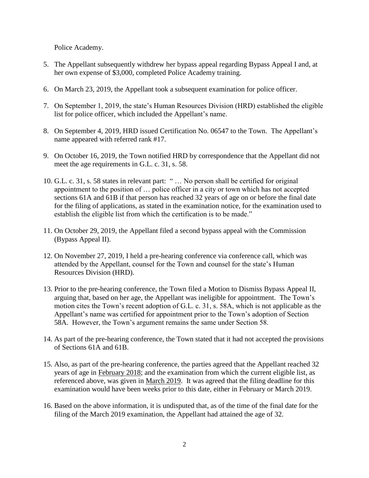Police Academy.

- 5. The Appellant subsequently withdrew her bypass appeal regarding Bypass Appeal I and, at her own expense of \$3,000, completed Police Academy training.
- 6. On March 23, 2019, the Appellant took a subsequent examination for police officer.
- 7. On September 1, 2019, the state's Human Resources Division (HRD) established the eligible list for police officer, which included the Appellant's name.
- 8. On September 4, 2019, HRD issued Certification No. 06547 to the Town. The Appellant's name appeared with referred rank #17.
- 9. On October 16, 2019, the Town notified HRD by correspondence that the Appellant did not meet the age requirements in G.L. c. 31, s. 58.
- 10. G.L. c. 31, s. 58 states in relevant part: " … No person shall be certified for original appointment to the position of … police officer in a city or town which has not accepted sections 61A and 61B if that person has reached 32 years of age on or before the final date for the filing of applications, as stated in the examination notice, for the examination used to establish the eligible list from which the certification is to be made."
- 11. On October 29, 2019, the Appellant filed a second bypass appeal with the Commission (Bypass Appeal II).
- 12. On November 27, 2019, I held a pre-hearing conference via conference call, which was attended by the Appellant, counsel for the Town and counsel for the state's Human Resources Division (HRD).
- 13. Prior to the pre-hearing conference, the Town filed a Motion to Dismiss Bypass Appeal II, arguing that, based on her age, the Appellant was ineligible for appointment. The Town's motion cites the Town's recent adoption of G.L. c. 31, s. 58A, which is not applicable as the Appellant's name was certified for appointment prior to the Town's adoption of Section 58A. However, the Town's argument remains the same under Section 58.
- 14. As part of the pre-hearing conference, the Town stated that it had not accepted the provisions of Sections 61A and 61B.
- 15. Also, as part of the pre-hearing conference, the parties agreed that the Appellant reached 32 years of age in February 2018; and the examination from which the current eligible list, as referenced above, was given in March 2019. It was agreed that the filing deadline for this examination would have been weeks prior to this date, either in February or March 2019.
- 16. Based on the above information, it is undisputed that, as of the time of the final date for the filing of the March 2019 examination, the Appellant had attained the age of 32.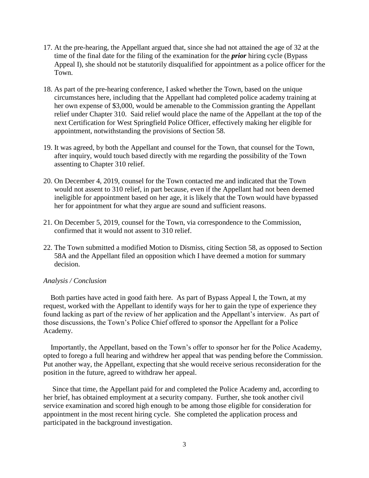- 17. At the pre-hearing, the Appellant argued that, since she had not attained the age of 32 at the time of the final date for the filing of the examination for the *prior* hiring cycle (Bypass Appeal I), she should not be statutorily disqualified for appointment as a police officer for the Town.
- 18. As part of the pre-hearing conference, I asked whether the Town, based on the unique circumstances here, including that the Appellant had completed police academy training at her own expense of \$3,000, would be amenable to the Commission granting the Appellant relief under Chapter 310. Said relief would place the name of the Appellant at the top of the next Certification for West Springfield Police Officer, effectively making her eligible for appointment, notwithstanding the provisions of Section 58.
- 19. It was agreed, by both the Appellant and counsel for the Town, that counsel for the Town, after inquiry, would touch based directly with me regarding the possibility of the Town assenting to Chapter 310 relief.
- 20. On December 4, 2019, counsel for the Town contacted me and indicated that the Town would not assent to 310 relief, in part because, even if the Appellant had not been deemed ineligible for appointment based on her age, it is likely that the Town would have bypassed her for appointment for what they argue are sound and sufficient reasons.
- 21. On December 5, 2019, counsel for the Town, via correspondence to the Commission, confirmed that it would not assent to 310 relief.
- 22. The Town submitted a modified Motion to Dismiss, citing Section 58, as opposed to Section 58A and the Appellant filed an opposition which I have deemed a motion for summary decision.

#### *Analysis / Conclusion*

 Both parties have acted in good faith here. As part of Bypass Appeal I, the Town, at my request, worked with the Appellant to identify ways for her to gain the type of experience they found lacking as part of the review of her application and the Appellant's interview. As part of those discussions, the Town's Police Chief offered to sponsor the Appellant for a Police Academy.

 Importantly, the Appellant, based on the Town's offer to sponsor her for the Police Academy, opted to forego a full hearing and withdrew her appeal that was pending before the Commission. Put another way, the Appellant, expecting that she would receive serious reconsideration for the position in the future, agreed to withdraw her appeal.

 Since that time, the Appellant paid for and completed the Police Academy and, according to her brief, has obtained employment at a security company. Further, she took another civil service examination and scored high enough to be among those eligible for consideration for appointment in the most recent hiring cycle. She completed the application process and participated in the background investigation.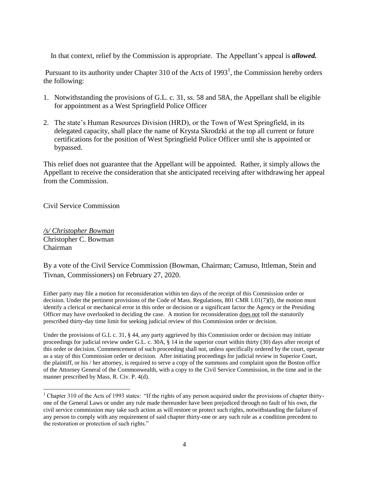In that context, relief by the Commission is appropriate. The Appellant's appeal is *allowed.*

Pursuant to its authority under Chapter 310 of the Acts of  $1993<sup>1</sup>$ , the Commission hereby orders the following:

- 1. Notwithstanding the provisions of G.L. c. 31, ss. 58 and 58A, the Appellant shall be eligible for appointment as a West Springfield Police Officer
- 2. The state's Human Resources Division (HRD), or the Town of West Springfield, in its delegated capacity, shall place the name of Krysta Skrodzki at the top all current or future certifications for the position of West Springfield Police Officer until she is appointed or bypassed.

This relief does not guarantee that the Appellant will be appointed. Rather, it simply allows the Appellant to receive the consideration that she anticipated receiving after withdrawing her appeal from the Commission.

Civil Service Commission

*/s/ Christopher Bowman* Christopher C. Bowman Chairman

l

By a vote of the Civil Service Commission (Bowman, Chairman; Camuso, Ittleman, Stein and Tivnan, Commissioners) on February 27, 2020.

Either party may file a motion for reconsideration within ten days of the receipt of this Commission order or decision. Under the pertinent provisions of the Code of Mass. Regulations, 801 CMR 1.01(7)(l), the motion must identify a clerical or mechanical error in this order or decision or a significant factor the Agency or the Presiding Officer may have overlooked in deciding the case. A motion for reconsideration does not toll the statutorily prescribed thirty-day time limit for seeking judicial review of this Commission order or decision.

Under the provisions of G.L c. 31, § 44, any party aggrieved by this Commission order or decision may initiate proceedings for judicial review under G.L. c. 30A, § 14 in the superior court within thirty (30) days after receipt of this order or decision. Commencement of such proceeding shall not, unless specifically ordered by the court, operate as a stay of this Commission order or decision. After initiating proceedings for judicial review in Superior Court, the plaintiff, or his / her attorney, is required to serve a copy of the summons and complaint upon the Boston office of the Attorney General of the Commonwealth, with a copy to the Civil Service Commission, in the time and in the manner prescribed by Mass. R. Civ. P. 4(d).

<sup>&</sup>lt;sup>1</sup> Chapter 310 of the Acts of 1993 states: "If the rights of any person acquired under the provisions of chapter thirtyone of the General Laws or under any rule made thereunder have been prejudiced through no fault of his own, the civil service commission may take such action as will restore or protect such rights, notwithstanding the failure of any person to comply with any requirement of said chapter thirty-one or any such rule as a condition precedent to the restoration or protection of such rights."